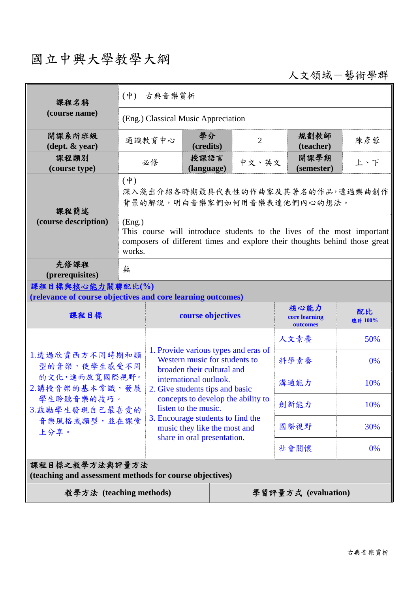## 國立中興大學教學大綱

人文領域-藝術學群

| 課程名稱                                                                                                                      | $(\dot{\Psi})$<br>古典音樂賞析                                                                                                                                                 |                                                                                                                                                                  |                             |                                   |                     |     |  |
|---------------------------------------------------------------------------------------------------------------------------|--------------------------------------------------------------------------------------------------------------------------------------------------------------------------|------------------------------------------------------------------------------------------------------------------------------------------------------------------|-----------------------------|-----------------------------------|---------------------|-----|--|
| (course name)                                                                                                             | (Eng.) Classical Music Appreciation                                                                                                                                      |                                                                                                                                                                  |                             |                                   |                     |     |  |
| 開課系所班級<br>$(\text{dept.} \& \text{ year})$                                                                                |                                                                                                                                                                          | 通識教育中心                                                                                                                                                           | 學分<br>(credits)             | $\overline{2}$                    | 規劃教師<br>(teacher)   | 陳彥蓉 |  |
| 課程類別<br>(course type)                                                                                                     | 必修                                                                                                                                                                       |                                                                                                                                                                  | 授課語言<br>(language)          | 中文、英文                             | 開課學期<br>(semester)  | 上、下 |  |
| 課程簡述<br>(course description)                                                                                              | $(\phi)$<br>深入淺出介紹各時期最具代表性的作曲家及其著名的作品,透過樂曲創作<br>背景的解說,明白音樂家們如何用音樂表達他們內心的想法。                                                                                              |                                                                                                                                                                  |                             |                                   |                     |     |  |
|                                                                                                                           | (Eng.)<br>This course will introduce students to the lives of the most important<br>composers of different times and explore their thoughts behind those great<br>works. |                                                                                                                                                                  |                             |                                   |                     |     |  |
| 先修課程<br>(prerequisites)                                                                                                   | 無                                                                                                                                                                        |                                                                                                                                                                  |                             |                                   |                     |     |  |
| 課程目標與核心能力關聯配比(%)<br>(relevance of course objectives and core learning outcomes)                                           |                                                                                                                                                                          |                                                                                                                                                                  |                             |                                   |                     |     |  |
| 課程目標                                                                                                                      |                                                                                                                                                                          | course objectives                                                                                                                                                |                             | 核心能力<br>core learning<br>outcomes | 配比<br>總計 100%       |     |  |
|                                                                                                                           |                                                                                                                                                                          |                                                                                                                                                                  |                             | 人文素養                              | 50%                 |     |  |
| 1.透過欣賞西方不同時期和類<br>型的音樂,使學生感受不同<br>的文化,進而放寬國際視野。<br>2.講授音樂的基本常識,發展<br>學生聆聽音樂的技巧。<br>3.鼓勵學生發現自己最喜愛的<br>音樂風格或類型,並在課堂<br>上分享。 |                                                                                                                                                                          | 1. Provide various types and eras of<br>Western music for students to<br>broaden their cultural and<br>international outlook.<br>2. Give students tips and basic |                             | 科學素養                              | 0%                  |     |  |
|                                                                                                                           |                                                                                                                                                                          |                                                                                                                                                                  |                             | 溝通能力                              | 10%                 |     |  |
|                                                                                                                           |                                                                                                                                                                          | concepts to develop the ability to<br>listen to the music.<br>3. Encourage students to find the<br>music they like the most and                                  |                             |                                   | 創新能力                | 10% |  |
|                                                                                                                           |                                                                                                                                                                          |                                                                                                                                                                  |                             |                                   | 國際視野                | 30% |  |
|                                                                                                                           |                                                                                                                                                                          |                                                                                                                                                                  | share in oral presentation. |                                   | 社會關懷                | 0%  |  |
| 課程目標之教學方法與評量方法<br>(teaching and assessment methods for course objectives)                                                 |                                                                                                                                                                          |                                                                                                                                                                  |                             |                                   |                     |     |  |
| 教學方法 (teaching methods)                                                                                                   |                                                                                                                                                                          |                                                                                                                                                                  |                             |                                   | 學習評量方式 (evaluation) |     |  |
|                                                                                                                           |                                                                                                                                                                          |                                                                                                                                                                  |                             |                                   |                     |     |  |